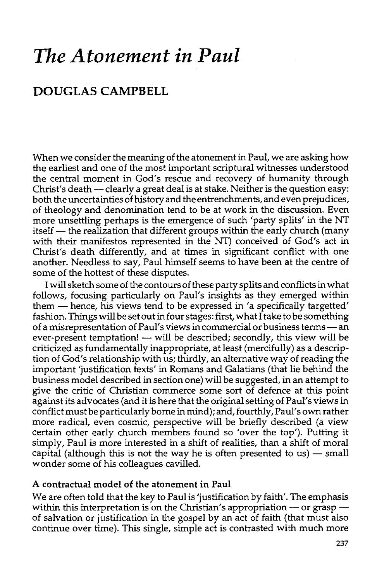# *The Atonement in Paul*

# **DOUGLAS CAMPBELL**

When we consider the meaning of the atonement in Paul, we are asking how the earliest and one of the most important scriptural witnesses understood the central moment in God's rescue and recovery of humanity through Christ's death - clearly a great deal is at stake. Neither is the question easy: both the uncertainties of history and the entrenchments, and even prejudices, of theology and denomination tend to be at work in the discussion. Even more unsettling perhaps is the emergence of such 'party splits' in the NT itself — the realization that different groups within the early church (many with their manifestos represented in the NT) conceived of God's act in Christ's death differently, and at times in significant conflict with one another. Needless to say, Paul himself seems to have been at the centre of some of the hottest of these disputes.

I will sketch some of the contours of these party splits and conflicts in what follows, focusing particularly on Paul's insights as they emerged within them- hence, his views tend to be expressed in 'a specifically targetted' fashion. Things will be set out in four stages: first, what I take to be something of a misrepresentation of Paul's views in commercial or business terms- an ever-present temptation! - will be described; secondly, this view will be criticized as fundamentally inappropriate, at least (mercifully) as a description of God's relationship with us; thirdly, an alternative way of reading the important 'justification texts' in Romans and Galatians (that lie behind the business model described in section one) will be suggested, in an attempt to give the critic of Christian commerce some sort of defence at this point against its advocates (and it is here that the original setting of Paul's views in conflict must be particularly borne in mind); and, fourthly, Paul's own rather more radical, even cosmic, perspective will be briefly described (a view certain other early church members found so 'over the top'). Putting it simply, Paul is more interested in a shift of realities, than a shift of moral capital (although this is not the way he is often presented to us)  $-$  small wonder some of his colleagues cavilled.

#### **A contractual model of the atonement in Paul**

We are often told that the key to Paul is 'justification by faith'. The emphasis within this interpretation is on the Christian's appropriation - or graspof salvation or justification in the gospel by an act of faith (that must also continue over time). This single, simple act is contrasted with much more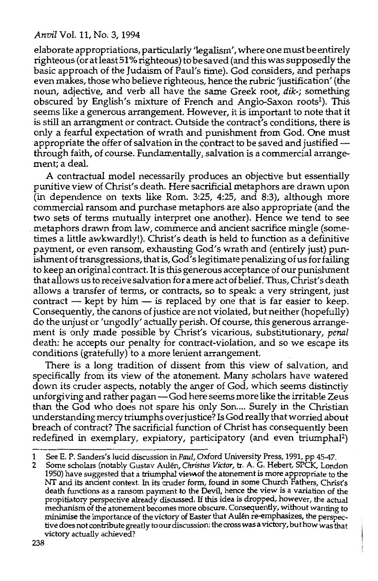elaborate appropriations, particularly 'legalism', where one must be entirely righteous (or atleast 51% righteous) to be saved (and this was supposedly the basic approach of the Judaism of Paul's time). God considers, and perhaps even makes, those who believe righteous, hence the rubric 'justification' (the noun, adjective, and verb all have the same Greek root, dik-; something obscured by English's mixture of French and Anglo-Saxon roots<sup>1</sup>). This seems like a generous arrangement. However, it is important to note that it is still an arrangment or contract. Outside the contract's conditions, there is only a fearful expectation of wrath and punishment from God. One must appropriate the offer of salvation in the contract to be saved and justifiedthrough faith, of course. Fundamentally, salvation is a commercial arrangement; a deal.

A contractual model necessarily produces an objective but essentially punitive view of Christ's death. Here sacrificial metaphors are drawn upon (in dependence on texts like Rom. 3:25, 4:25, and 8:3), although more commercial ransom and purchase metaphors are also appropriate (and the two sets of terms mutually interpret one another). Hence we tend to see metaphors drawn from law, commerce and ancient sacrifice mingle (sometimes a little awkwardly!). Christ's death is held to function as a definitive payment, or even ransom, exhausting God's wrath and (entirely just) punishment of transgressions, that is, God's legitimate penalizing of us for failing to keep an original contract. It is this generous acceptance of our punishment that allows us to receive salvation for a mere act of belief. Thus, Christ's death allows a transfer of terms, or contracts, so to speak: a very stringent, just contract  $-$  kept by him  $-$  is replaced by one that is far easier to keep. Consequently, the canons of justice are not violated, but neither (hopefully) do the unjust or 'ungodly' actually perish. Of course, this generous arrangement is only made possible by Christ's vicarious, substitutionary, *penal*  death: he accepts our penalty for contract-violation, and so we escape its conditions (gratefully) to a more lenient arrangement.

There is a long tradition of dissent from this view of salvation, and specifically from its view of the atonement. Many scholars have watered down its cruder aspects, notably the anger of God, which seems distinctly unforgiving and rather pagan-God here seems more like the irritable Zeus than the God who does not spare his only Son.... Surely in the Christian understanding mercy triumphs over justice? Is God really that worried about breach of contract? The sacrificial function of Christ has consequently been redefined in exemplary, expiatory, participatory (and even triumphal<sup>2</sup>)

<sup>1</sup> See E. P. Sanders's lucid discussion in *Paul,* Oxford University Press, 1991, pp 45-47.

<sup>2</sup> Some scholars (notably Gustav Aulen, *Christus Victor,* tr. A. G. Hebert, SPCK, London 1950) have suggested that a triumphal viewof the atonement is more appropriate to the NT and its ancient context. In its cruder form, found in some Church Fathers, Christ's death functions as a ransom payment to the Devil, hence the view is a variation of the propitiatory perspective already discussed. If this idea is dropped, however, the actual mechanism of the atonement becomes more obscure. Consequently, without wanting to minimise the importance of the victory of Easter that Aulen re-emphasizes, the perspective does not contribute greatly to our discussion: the cross was a victory, but how was that victory actually achieved?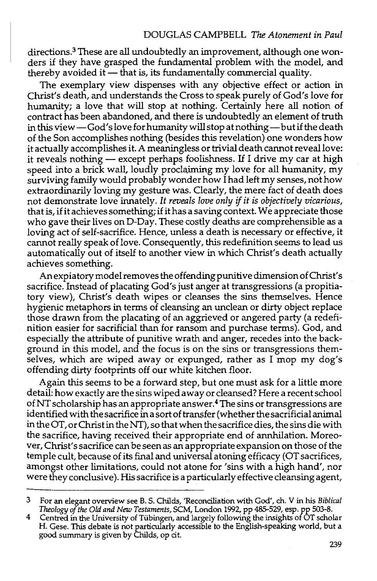directions.3 These are all undoubtedly an improvement, although one wonders if they have grasped the fundamental problem with the model, and thereby avoided it  $-$  that is, its fundamentally commercial quality.

The exemplary view dispenses with any objective effect or action in Christ's death, and understands the Cross to speak purely of God's love for humanity; a love that will stop at nothing. Certainly here all notion of contract has been abandoned, and there is undoubtedly an element of truth in this view-God's love for humanity will stop at nothing-but if the death of the Son accomplishes nothing (besides this revelation) one wonders how it actually accomplishes it. A meaningless or trivial death cannot reveal love: it reveals nothing - except perhaps foolishness. If I drive my car at high speed into a brick wall, loudly proclaiming my love for all humanity, my surviving family would probably wonder how I had left my senses, not how extraordinarily loving my gesture was. Clearly, the mere fact of death does not demonstrate love innately. It *reveals love only* if *it is objectively vicarious,*  that is, if it achieves something; if it has a saving context. We appreciate those who gave their lives on D-Day. These costly deaths are comprehensible as a loving act of self-sacrifice. Hence, unless a death is necessary or effective, it cannot really speak of love. Consequently, this redefinition seems to lead us automatically out of itself to another view in which Christ's death actually achieves something.

An expiatory model removes the offending punitive dimension of Christ's sacrifice. Instead of placating God's just anger at transgressions (a propitiatory view), Christ's death wipes or cleanses the sins themselves. Hence hygienic metaphors in terms of cleansing an unclean or dirty object replace those drawn from the placating of an aggrieved or angered party (a redefinition easier for sacrificial than for ransom and purchase terms). God, and especially the attribute of punitive wrath and anger, recedes into the background in this model, and the focus is on the sins or transgressions themselves, which are wiped away or expunged, rather as I mop my dog's offending dirty footprints off our white kitchen floor.

Again this seems to be a forward step, but one must ask for a little more detail: how exactly are the sins wiped away or cleansed? Here a recent school of NT scholarship has an appropriate answer. 4 The sins or transgressions are identified with the sacrifice in a sort of transfer (whether the sacrificial animal in the OT, or Christ in the NT), so that when the sacrifice dies, the sins die with the sacrifice, having received their appropriate end of annhilation. Moreover, Christ's sacrifice can be seen as an appropriate expansion on those of the temple cult, because of its final and universal atoning efficacy (OT sacrifices, amongst other limitations, could not atone for 'sins with a high hand', nor were they conclusive). His sacrifice is a particularly effective cleansing agent,

<sup>3</sup> For an elegant overview see B. S. Childs, 'Reconciliation with God', eh. V in his *Biblical Theology of the Old and New Testaments,* SCM, London 1992, pp 485-529, esp. pp 503-8.

<sup>4</sup> Centred in the University of Tiibingen, and largely following the insights of OT scholar H. Gese. This debate is not particularly accessible to the English-speaking world, but a good summary is given by Childs, op cit.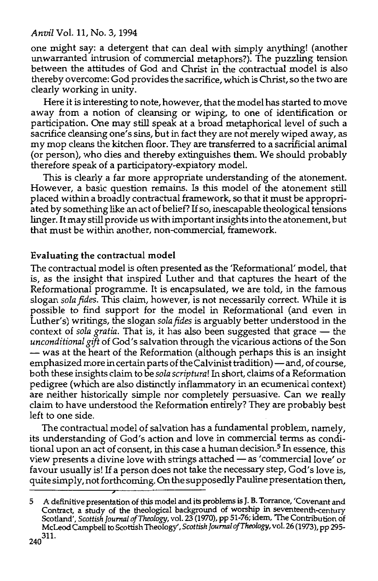one might say: a detergent that can deal with simply anything! (another unwarranted intrusion of commercial metaphors?). The puzzling tension between the attitudes of God and Christ in the contractual model is also thereby overcome: God provides the sacrifice, which is Christ, so the two are clearly working in unity.

Here it is interesting to note, however, that the model has started to move away from a notion of cleansing or wiping, to one of identification or participation. One may still speak at a broad metaphorical level of such a sacrifice cleansing one's sins, but in fact they are not merely wiped away, as my mop cleans the kitchen floor. They are transferred to a sacrificial animal (or person), who dies and thereby extinguishes them. We should probably therefore speak of a participatory-expiatory model.

This is clearly a far more appropriate understanding of the atonement. However, a basic question remains. Is this model of the atonement still placed within a broadly contractual framework, so that it must be appropriated by something like an act of belief? If so, inescapable theological tensions linger. It may still provide us with important insights into the atonement, but that must be within another, non-commercial, framework.

# Evaluating the contractual model

The contractual model is often presented as the 'Reformational' model, that is, as the insight that inspired Luther and that captures the heart of the Reformational programme. It is encapsulated, we are told, in the famous slogan *sola fides.* This claim, however, is not necessarily correct. While it is possible to find support for the model in Reformational (and even in Luther's) writings, the slogan *sola fides* is arguably better understood in the context of *sola gratia*. That is, it has also been suggested that grace - the *unconditional gift* of God's salvation through the vicarious actions of the Son - was at the heart of the Reformation (although perhaps this is an insight emphasized more in certain parts of the Calvinist tradition)-and, of course, both these insights claim to be *sola scriptura!* In short, claims of a Reformation pedigree (which are also distinctly inflammatory in an ecumenical context) are neither historically simple nor completely persuasive. Can we really claim to have understood the Reformation entirely? They are probably best left to one side.

The contractual model of salvation has a fundamental problem, namely, its understanding of God's action and love in commercial terms as conditional upon an act of consent, in this case a human decision.<sup>5</sup> In essence, this view presents a divine love with strings attached - as 'commercial love' or favour usually is! If a person does not take the necessary step, God's love is, quite simply,not forthcoming. On the supposedly Pauline presentation then,

<sup>5</sup> A definitive presentation of this model and its problems is J. B. Torrance, 'Covenant and Contract, a study of the theological background of worship in seventeenth-century Scotland', *Scottish Journal ofTheology,* vol. 23 (1970), pp 51-76; tdem, The Contribution of McLeod Camp bell to Scottish Theology', *Scottish Journal ofTheology,* vol. 26 (1973), pp 295- 240<sup>311.</sup>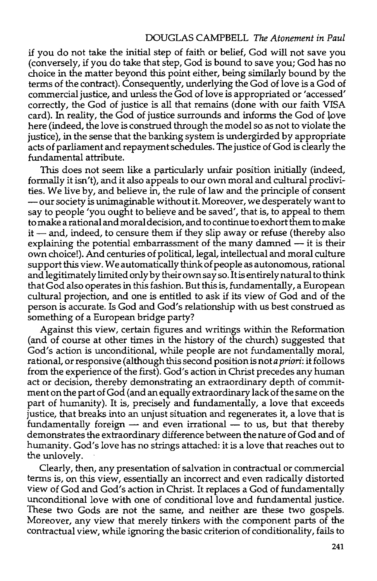#### DOUGLAS CAMPBELL *The Atonement in Paul*

if you do not take the initial step of faith or belief, God will not save you (conversely, if you do take that step, God is bound to save you; God has no choice in the matter beyond this point either, being similarly bound by the terms of the contract). Consequently, underlying the God of love is a God of commercial justice, and unless the God of love is appropriated or 'accessed' correctly, the God of justice is all that remains (done with our faith VISA card). In reality, the God of justice surrounds and informs the God of love here (indeed, the love is construed through the model so as not to violate the justice), in the sense that the banking system is undergirded by appropriate acts of parliament and repayment schedules. The justice of God is clearly the fundamental attribute.

This does not seem like a particularly unfair position initially (indeed, formally it isn't), and it also appeals to our own moral and cultural proclivities. We live by, and believe in, the rule of law and the principle of consent -our society is unimaginable without it. Moreover, we desperately want to say to people 'you ought to believe and be saved', that is, to appeal to them to make a rational and moral decision, and to continue to exhort them to make  $it$   $-$  and, indeed, to censure them if they slip away or refuse (thereby also explaining the potential embarrassment of the many damned  $-$  it is their own choice!). And centuries of political, legal, intellectual and moral culture support this view. We automatically think of people as autonomous, rational and legitimately limited only by their own say so. It is entirely natural to think that God also operates in this fashion. But this is, fundamentally, a European cultural projection, and one is entitled to ask if its view of God and of the person is accurate. Is God and God's relationship with us best construed as something of a European bridge party?

Against this view, certain figures and writings within the Reformation (and of course at other times in the history of the church) suggested that God's action is unconditional, while people are not fundamentally moral, rational, or responsive (although this second position is not *a priori:* it follows from the experience of the first). God's action in Christ precedes any human act or decision, thereby demonstrating an extraordinary depth of commitment on the part of God (and an equally extraordinary lack of the same on the part of humanity). It is, precisely and fundamentally, a love that exceeds justice, that breaks into an unjust situation and regenerates it, a love that is fundamentally foreign  $-$  and even irrational  $-$  to us, but that thereby demonstrates the extraordinary difference between the nature of God and of humanity. God's love has no strings attached: it is a love that reaches out to the unlovely.

Clearly, then, any presentation of salvation in contractual or commercial terms is, on this view, essentially an incorrect and even radically distorted view of God and God's action in Christ. It replaces a God of fundamentally unconditional love with one of conditional love and fundamental justice. These two Gods are not the same, and neither are these two gospels. Moreover, any view that merely tinkers with the component parts of the contractual view, while ignoring the basic criterion of conditionality, fails to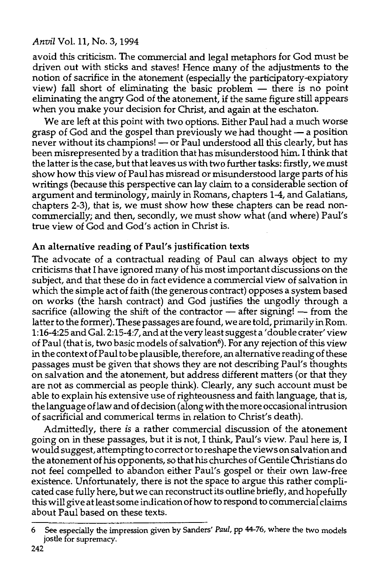avoid this criticism. The commercial and legal metaphors for God must be driven out with sticks and staves! Hence many of the adjustments to the notion of sacrifice in the atonement (especially the participatory-expiatory view) fall short of eliminating the basic problem  $-$  there is no point eliminating the angry God of the atonement, if the same figure still appears when you make your decision for Christ, and again at the eschaton.

We are left at this point with two options. Either Paul had a much worse grasp of God and the gospel than previously we had thought - a position never without its champions! - or Paul understood all this clearly, but has been misrepresented by a tradition that has misunderstood him. I think that the latter is the case, but that leaves us with two further tasks: firstly, we must show how this view of Paul has misread or misunderstood large parts of his writings (because this perspective can lay claim to a considerable section of argument and terminology, mainly in Romans, chapters 1-4, and Galatians, chapters 2-3), that is, we must show how these chapters can be read noncommercially; and then, secondly, we must show what (and where) Paul's true view of God and God's action in Christ is.

# An alternative reading of Paul's justification texts

The advocate of a contractual reading of Paul can always object to my criticisms that I have ignored many of his most important discussions on the subject, and that these do in fact evidence a commercial view of salvation in which the simple act of faith (the generous contract) opposes a system based on works (the harsh contract) and God justifies the ungodly through a sacrifice (allowing the shift of the contractor  $-$  after signing!  $-$  from the latter to the former). These passages are found, we are told, primarily in Rom. 1:16-4:25 and Gal. 2:15-4:7, and at the very least suggest a' double crater' view of Paul (that is, two basic models of salvation<sup>6</sup>). For any rejection of this view in the context of Paul to be plausible, therefore, an alternative reading of these passages must be given that shows they are not describing Paul's thoughts on salvation and the atonement, but address different matters (or that they are not as commercial as people think). Clearly, any such account must be able to explain his extensive use of righteousness and faith language, that is, the language oflaw and of decision (along with the more occasional intrusion of sacrificial and commerical terms in relation to Christ's death).

Admittedly, there is a rather commercial discussion of the atonement going on in these passages, but it is not, I think, Paul's view. Paul here is, I would suggest, attempting to correct or to reshape the views on salvation and the atonement of his opponents, so that his churches of Gentile Christians do not feel compelled to abandon either Paul's gospel or their own law-free existence. Unfortunately, there is not the space to argue this rather complicated case fully here, but we can reconstruct its outline briefly, and hopefully this will give at least some indication of how to respond to commercial claims about Paul based on these texts.

<sup>6</sup> See especially the impression given by Sanders' *Paul,* pp 44-76, where the two models jostle for supremacy.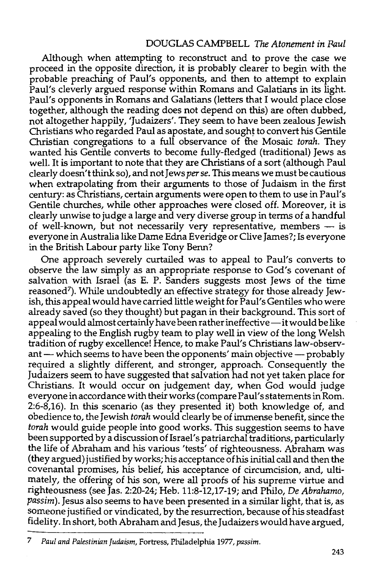Although when attempting to reconstruct and to prove the case we proceed in the opposite direction, it is probably clearer to begin with the probable preaching of Paul's opponents, and then to attempt to explain Paul's cleverly argued response within Romans and Galatians in its light. Paul's opponents in Romans and Galatians (letters that I would place close together, although the reading does not depend on this) are often dubbed, not altogether happily, 'Judaizers'. They seem to have been zealous Jewish Christians who regarded Paul as apostate, and sought to convert his Gentile Christian congregations to a full observance of the Mosaic *torah.* They wanted his Gentile converts to become fully-fledged (traditional) Jews as well. It is important to note that they are Christians of a sort (although Paul clearly doesn't think so), and not Jews *per se.* This means we must be cautious when extrapolating from their arguments to those of Judaism in the first century: as Christians, certain arguments were open to them to use in Paul's Gentile churches, while other approaches were closed off. Moreover, it is clearly unwise to judge a large and very diverse group in terms of a handful of well-known, but not necessarily very representative, members  $-$  is everyone in Australia like Dame Edna Everidge or Clive James?; Is everyone in the British Labour party like Tony Berm?

One approach severely curtailed was to appeal to Paul's converts to observe the law simply as an appropriate response to God's covenant of salvation with Israel (as E. P. Sanders suggests most Jews of the time reasoned7). While undoubtedly an effective strategy for those already Jewish, this appeal would have carried little weight for Paul's Gentiles who were already saved (so they thought) but pagan in their background. This sort of appeal would almost certainly have been rather ineffective-it would be like appealing to the English rugby team to play well in view of the long Welsh tradition of rugby excellence! Hence, to make Paul's Christians law-observant  $-$  which seems to have been the opponents' main objective  $-$  probably required a slightly different, and stronger, approach. Consequently the Judaizers seem to have suggested that salvation had not yet taken place for Christians. It would occur on judgement day, when God would judge everyone in accordance with their works (compare Paul's statements in Rom. 2:6-8,16). In this scenario (as they presented it) both knowledge of, and obedience to, the Jewish *torah* would clearly be of immense benefit, since the *torah* would guide people into good works. This suggestion seems to have been supported by a discussion of Israel's patriarchal traditions, particularly the life of Abraham and his various 'tests' of righteousness. Abraham was (they argued) justified by works; his acceptance of his initial call and then the covenantal promises, his belief, his acceptance of circumcision, and, ultimately, the offering of his son, were all proofs of his supreme virtue and righteousness (see Jas. 2:20-24; Heb. 11:8-12,17-19; and Philo, *De Abrahamo, passim).* Jesus also seems to have been presented in a similar light, that is, as someone justified or vindicated, by the resurrection, because of his steadfast fidelity. In short, both Abraham and Jesus, the Judaizers would have argued,

<sup>7</sup> *Paul and Palestinian Judaism,* Fortress, Philadelphia 1977, *passim.*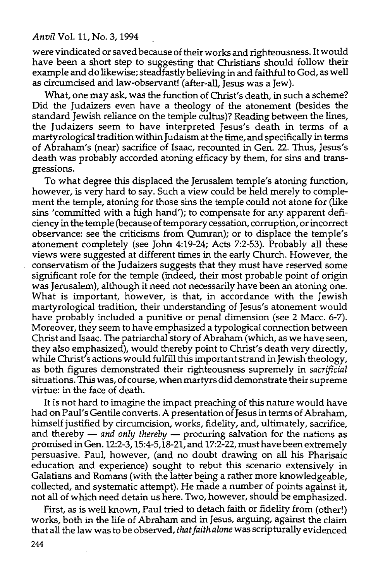were vindicated or saved because of their works and righteousness. It would have been a short step to suggesting that Christians should follow their example and do likewise; steadfastly believing in and faithful to God, as well as circumcised and law-observant! (after-all, Jesus was a Jew).

What, one may ask, was the function of Christ's death, in such a scheme? Did the Judaizers even have a theology of the atonement (besides the standard Jewish reliance on the temple cultus)? Reading between the lines, the Judaizers seem to have interpreted Jesus's death in terms of a martyrological tradition within Judaism at the time, and specifically in terms of Abraham's (near) sacrifice of Isaac, recounted in Gen. 22. Thus, Jesus's death was probably accorded atoning efficacy by them, for sins and transgressions.

To what degree this displaced the Jerusalem temple's atoning function, however, is very hard to say. Such a view could be held merely to complement the temple, atoning for those sins the temple could not atone for (like sins 'committed with a high hand'); to compensate for any apparent deficiency in the temple (because of temporary cessation, corruption, or incorrect observance: see the criticisms from Qumran); or to displace the temple's atonement completely (see John 4:19-24; Acts 7:2-53). Probably all these views were suggested at different times in the early Church. However, the conservatism of the Judaizers suggests that they must have reserved some significant role for the temple (indeed, their most probable point of origin was Jerusalem), although it need not necessarily have been an atoning one. What is important, however, is that, in accordance with the Jewish martyrological tradition, their understanding of Jesus's atonement would have probably included a punitive or penal dimension (see 2 Mace. 6-7). Moreover, they seem to have emphasized a typological connection between Christ and Isaac. The patriarchal story of Abraham (which, as we have seen, they also emphasized), would thereby point to Christ's death very directly, while Christ's actions would fulfill this important strand in Jewish theology, as both figures demonstrated their righteousness supremely in *sacrificial*  situations. This was, of course, when martyrs did demonstrate their supreme virtue: in the face of death.

It is not hard to imagine the impact preaching of this nature would have had on Paul's Gentile converts. A presentation of Jesus in terms of Abraham, himself justified by circumcision, works, fidelity, and, ultimately, sacrifice, and thereby - *and only thereby* - procuring salvation for the nations as promised in Gen. 12:2-3, 15:4-5,18-21, and 17:2-22, must have been extremely persuasive. Paul, however, (and no doubt drawing on all his Pharisaic education and experience) sought to rebut this scenario extensively in Galatians and Romans (with the latter being a rather more knowledgeable, collected, and systematic attempt). He made a number of points against it, not all of which need detain us here. Two, however, should be emphasized.

First, as is well known, Paul tried to detach faith or fidelity from (other!) works, both in the life of Abraham and in Jesus, arguing, against the claim that all the law was to be observed, *that faith alone* was scripturally evidenced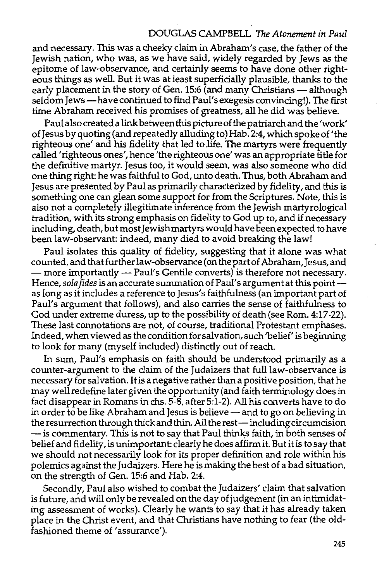#### DOUGLAS CAMPBELL The *Atonement* in *Paul*

and necessary. This was a cheeky claim in Abraham's case, the father of the Jewish nation, who was, as we have said, widely regarded by Jews as the epitome of law-observance, and certainly seems to have done other righteous things as well. But it was at least superficially plausible, thanks to the early placement in the story of Gen. 15:6 (and many Christians — although seldom Jews-have continued to find Paul's exegesis convincing!). The first time Abraham received his promises of greatness, all he did was believe.

Paul also created a link between this picture of the patriarch and the 'work' of Jesus by quoting (and repeatedly alluding to) Hab. 2:4, which spoke of 'the righteous one' and his fidelity that led to life. The martyrs were frequently called 'righteous ones', hence 'the righteous one' was an appropriate title for the definitive martyr. Jesus too, it would seem, was also someone who did one thing right: he was faithful to God, unto death. Thus, both Abraham and Jesus are presented by Paul as primarily characterized by fidelity, and this is something one can glean some support for from the Scriptures. Note, this is also not a completely illegitimate inference from the Jewish martyrological tradition, with its strong emphasis on fidelity to God up to, and if necessary including, death, but most Jewish martyrs would have been expected to have been law-observant: indeed, many died to avoid breaking the law!

Paul isolates this quality of fidelity, suggesting that it alone was what counted, and that further law-observance (on the part of Abraham,Jesus, and - more importantly - Paul's Gentile converts) is therefore not necessary. Hence, *sola fides* is an accurate summation of Paul's argument at this pointas long as it includes a reference to Jesus's faithfulness (an important part of Paul's argument that follows), and also carries the sense of faithfulness to God under extreme duress, up to the possibility of death (see Rom. 4:17-22). These last connotations are not, of course, traditional Protestant emphases. Indeed, when viewed as the condition for salvation, such 'belief' is beginning to look for many (myself included) distinctly out of reach.

In sum, Paul's emphasis on faith should be understood primarily as a counter-argument to the claim of the Judaizers that full law-observance is necessary for salvation. It is a negative rather than a positive position, that he may well redefine later given the opportunity (and faith terminology does in fact disappear in Romans in chs. 5-8, after 5:1-2). All his converts have to do in order to be like Abraham and Jesus is believe  $-$  and to go on believing in the resurrection through thick and thin. All the rest-including circumcision -is commentary. This is not to say that Paul thinks faith, in both senses of belief and fidelity, is unimportant: clearly he does affirm it. But it is to say that we should not necessarily look for its proper definition and role within his polemics against the Judaizers. Here he is making the best of a bad situation, on the strength of Gen. 15:6 and Hab. 2:4.

Secondly, Paul also wished to combat the Judaizers' claim that salvation is future, and will only be revealed on the day of judgement (in an intimidating assessment of works). Clearly he wants to say that it has already taken place in the Christ event, and that Christians have nothing to fear (the oldfashioned theme of 'assurance').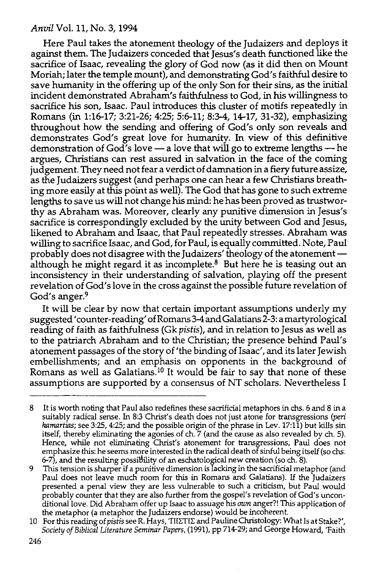Here Paul takes the atonement theology of the Judaizers and deploys it against them. The Judaizers conceded that Jesus's death functioned like the sacrifice of Isaac, revealing the glory of God now (as it did then on Mount Moriah; later the temple mount), and demonstrating God's faithful desire to save humanity in the offering up of the only Son for their sins, as the initial incident demonstrated Abraham's faithfulness to God, in his willingness to sacrifice his son, Isaac. Paul introduces this cluster of motifs repeatedly in Romans (in 1:16-17; 3:21-26; 4:25; 5:6-11; 8:3-4, 14-17, 31-32), emphasizing throughout how the sending and offering of God's only son reveals and demonstrates God's great love for humanity. In view of this definitive demonstration of God's love - a love that will go to extreme lengths - he argues, Christians can rest assured in salvation in the face of the coming judgement. They need not fear a verdict of damnation in a fiery future assize, as the Judaizers suggest (and perhaps one can hear a few Christians breathing more easily at this point as well). The God that has gone to such extreme lengths to save us will not change his mind: he has been proved as trustworthy as Abraham was. Moreover, clearly any punitive dimension in Jesus's sacrifice is correspondingly excluded by the unity between God and Jesus, likened to Abraham and Isaac, that Paul repeatedly stresses. Abraham was willing to sacrifice Isaac, and God, for Paul, is equally committed. Note, Paul probably does not disagree with the Judaizers' theology of the atonement although he might regard it as incomplete. $8$  But here he is teasing out an inconsistency in their understanding of salvation, playing off the present revelation of God's love in the cross against the possible future revelation of God's anger.<sup>9</sup>

It will be clear by now that certain important assumptions underly my suggested' counter-reading' ofRomans3-4 and Galatians 2-3: amartyrological reading of faith as faithfulness (Gk *pistis),* and in relation to Jesus as well as to the patriarch Abraham and to the Christian; the presence behind Paul's atonement passages of the story of 'the binding of Isaac', and its later Jewish embellishments; and an emphasis on opponents in the background of Romans as well as Galatians.<sup>10</sup> It would be fair to say that none of these assumptions are supported by a consensus of NT scholars. Nevertheless I

<sup>8</sup> It is worth noting that Paul also redefines these sacrificial metaphors in chs. 6 and 8 in a suitably radical sense. In 8:3 Christ's death does not just atone for transgressions *(peri hamartias;* see 3:25, 4:25; and the possible origin of the phrase in Lev. 17:11) but kills sin itself, thereby eliminating the agonies of eh. 7 (and the cause as also revealed by eh. 5). Hence, while not eliminating Christ's atonement for transgressions, Paul does not emphasize this: he seems more interested in the radical death of sinful being itself (so chs. 6-7), and the resulting possiBility of an eschatological new creation (so eh. 8).

<sup>9</sup> This tension is sharper if a punitive dimension is lacking in the sacrificial metaphor (and Paul does not leave much room for this in Romans and Galatians). If the Judaizers presented a penal view they are less vulnerable to such a criticism, but Paul would probably counter that they are also further from the gospel's revelation of God's unconditional love. Did Abraham offer up Isaac to assuage his *own* anger?! This application of the metaphor (a metaphor the Judaizers endorse) would be incoherent.

<sup>10</sup> For this reading of pistis see R. Hays, 'TIIΣTIE and Pauline Christology: What Is at Stake?', *Society of Biblical Literature Seminar Papers,* (1991), pp 714-29; and George Howard, 'Faith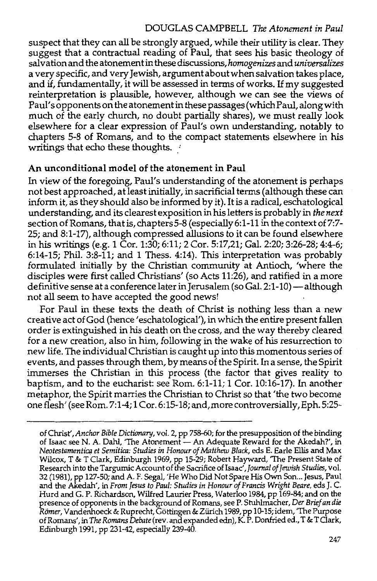### DOUGLAS CAMPBELL The *Atonement in Paul*

suspect that they can all be strongly argued, while their utility is clear. They suggest that a contractual reading of Paul, that sees his basic theology of salvation and the atonement in these discussions, *homogenizes* and *universalizes*  a very specific, and very Jewish, argument about when salvation takes place, and if, fundamentally, it will be assessed in terms of works. If my suggested reinterpretation is plausible, however, although we can see the views of Paul's opponents on the atonement in these passages (which Paul, along with much of the early church, no doubt partially shares), we must really look elsewhere for a clear expression of Paul's own understanding, notably to chapters 5-8 of Romans, and to the compact statements elsewhere in his writings that echo these thoughts.

#### **An unconditional model of the atonement in Paul**

In view of the foregoing, Paul's understanding of the atonement is perhaps not best approached, at least initially, in sacrificial terms (although these can inform it, as they should also be informed by it). It is a radical, eschatological understanding, and its clearest exposition in his letters is probably in *the next*  section of Romans, that is, chapters 5-8 (especially 6:1-11 in the context of 7:7- 25; and 8:1-17), although compressed allusions to it can be found elsewhere in his writings (e.g. 1 Cor. 1:30; 6:11; 2 Cor. 5:17,21; Gal. 2:20; 3:26-28; 4:4-6; 6:14-15; Phil. 3:8-11; and 1 Thess. 4:14). This interpretation was probably formulated initially by the Christian community at Antioch, 'where the disciples were first called Christians' (so Acts 11:26), and ratified in a more definitive sense at a conference later in Jerusalem (so Gal. 2:1-10) - although not all seem to have accepted the good news!

For Paul in these texts the death of Christ is nothing less than a new creative act of God (hence 'eschatological'), in which the entire present fallen order is extinguished in his death on the cross, and the way thereby cleared for a new creation, also in him, following in the wake of his resurrection to new life. The individual Christian is caught up into this momentous series of events, and passes through them, by means of the Spirit. In a sense, the Spirit immerses the Christian in this process (the factor that gives reality to baptism, and to the eucharist: see Rom. 6:1-11; 1 Cor. 10:16-17). In another metaphor, the Spirit marries the Christian to Christ so that 'the two become one flesh' (see Rom. 7:1-4; 1 Cor. 6:15-18; and, more controversially, Eph. 5:25-

of Christ', *Anchor Bible Dictionary,* vol. 2, pp 758-60; for the presupposition of the binding of Isaac see N. A. Dahl, 'The Atonement - An Adequate Reward for the Akedah?', in *Neotestamentica et Semitica: Studies in Honour of Matthew Black,* eds E. Earle Ellis and Max Wilcox, T & T Clark, Edinburgh 1969, pp 15-29; Robert Hayward, The Present State of Research into the Targumic Account of the Sacrifice of Isaac', *Journal of Jewish Studies*, vol. 32 (1981), pp 127-50; and A. F. Segal, 'He Who Did Not Spare His Own Son ... Jesus, Paul and the Akedah', in *From Jesus to Paul: Studies in Honour of Francis Wright Beare,* eds J. C. Hurd and G. P. Richardson, Wilfred Laurier Press, Waterloo 1984, pp 169-84; and on the presence of opponents in the background of Romans, seeP. Stuhlmacher, *Der Brief an die Riimer,* V andenhoeck & Ruprecht, Gottingen & ZUrich 1989, pp 10-15; idem, 'The Purpose of Romans', in *The Romans Debate* (rev. and expanded edn), K. P. Donfried ed., T & T Clark, Edinburgh 1991, pp 231-42, especially 239-40.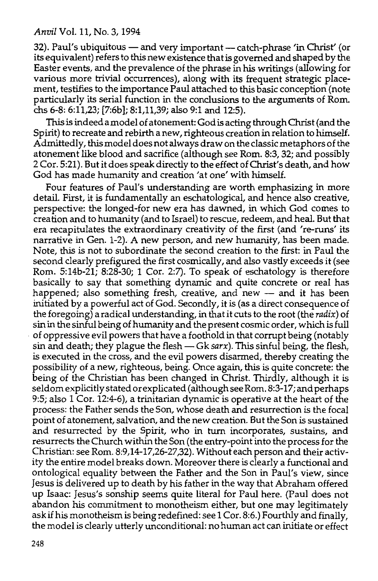32). Paul's ubiquitous - and very important - catch-phrase 'in Christ' (or its equivalent) refers to this new existence that is governed and shaped by the Easter events, and the prevalence of the phrase in his writings (allowing for various more trivial occurrences), along with its frequent strategic placement, testifies to the importance Paul attached to this basic conception (note particularly its serial function in the conclusions to the arguments of Rom. chs 6-8: 6:11,23; [7:6b]; 8:1,11,39; also 9:1 and 12:5).

This is indeed a model of atonement: God is acting through Christ (and the Spirit) to recreate and rebirth a new, righteous creation in relation to himself. Admittedly, this model does not always draw on the classic metaphors of the atonement like blood and sacrifice (although see Rom. 8:3, 32; and possibly 2 Cor. 5:21 ). But it does speak directly to the effect of Christ's death, and how God has made humanity and creation 'at one' with himself.

Four features of Paul's understanding are worth emphasizing in more detail. First, it is fundamentally an eschatological, and hence also creative, perspective: the longed-for new era has dawned, in which God comes to creation and to humanity (and to Israel) to rescue, redeem, and heal. But that era recapitulates the extraordinary creativity of the first (and 're-runs' its narrative in Gen. 1-2). A new person, and new humanity, has been made. Note, this is not to subordinate the second creation to the first: in Paul the second clearly prefigured the first cosmically, and also vastly exceeds it (see Rom. 5:14b-21; 8:28-30; 1 Cor. 2:7). To speak of eschatology is therefore basically to say that something dynamic and quite concrete or real has happened; also something fresh, creative, and new — and it has been initiated by a powerful act of God. Secondly, it is (as a direct consequence of the foregoing) a radical understanding, in that it cuts to the root (the radix) of sin in the sinful being of humanity and the present cosmic order, which is full · of oppressive evil powers that have a foothold in that corrupt being (notably sin and death; they plague the flesh — Gk sarx). This sinful being, the flesh, is executed in the cross, and the evil powers disarmed, thereby creating the possibility of a new, righteous, being. Once again, this is quite concrete: the being of the Christian has been changed in Christ. Thirdly, although it is seldom explicitly stated or explicated (although see Rom. 8:3-17; and perhaps 9:5; also 1 Cor. 12:4-6), a trinitarian dynamic is operative at the heart of the process: the Father sends the Son, whose death and resurrection is the focal point of atonement, salvation, and the new creation. But the Son is sustained and resurrected by the Spirit, who in turn incorporates, sustains, and resurrects the Church within the Son {the entry-point into the process for the Christian: see Rom. 8:9,14-17,26-27,32). Without each person and their activity the entire model breaks down. Moreover there is clearly a functional and ontological equality between the Father and the Son in Paul's view, since Jesus is delivered up to death by his father in the way that Abraham offered up Isaac: Jesus's sonship seems quite literal for Paul here. (Paul does not abandon his commitment to monotheism either, but one may legitimately ask if his monotheism is being redefined: see 1 Cor. 8:6.) Fourthly and finally, the model is clearly utterly unconditional: no human act can initiate or effect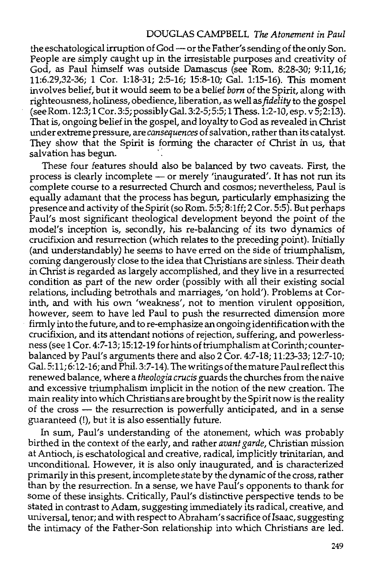the eschatological irruption of God-or the Father's sending of the only Son. People are simply caught up in the irresistable purposes and creativity of God, as Paul himself was outside Damascus (see Rom. 8:28-30; 9:11,16; 11:6.29,32-36; 1 Cor. 1:18-31; 2:5-16; 15:8-10; Gal. 1:15-16). This moment involves belief, but it would seem to be a belief *born* of the Spirit, along with righteousness, holiness, obedience, liberation, as well as *fidelity* to the gospel (seeRom.12:3; 1 Cor.3:5;possiblyGal. 3:2-5;5:5;1 Thess.1:2-10,esp. v5;2:13). That is, ongoing belief in the gospel, and loyalty to God as revealed in Christ under extreme pressure, are *consequences* of salvation, rather than its catalyst. They show that the Spirit is forming the character of Christ in us, that salvation has begun.

These four features should also be balanced by two caveats. First, the process is clearly incomplete - or merely 'inaugurated'. It has not run its complete course to a resurrected Church and cosmos; nevertheless, Paul is equally adamant that the process has begun, particularly emphasizing the presence and activity of the Spirit (so Rom. 5:5; 8:lff; 2 Cor. 5:5). But perhaps Paul's most significant theological development beyond the point of the model's inception is, secondly, his re-balancing of its two dynamics of crucifixion and resurrection (which relates to the preceding point). Initially (and understandably) he seems to have erred on the side of triumphalism, coming dangerously close to the idea that Christians are sinless. Their death in Christ is regarded as largely accomplished, and they live in a resurrected condition as part of the new order (possibly with all their existing social relations, including betrothals and marriages, 'on hold'). Problems at Corinth, and with his own 'weakness', not to mention virulent opposition, however, seem to have led Paul to push the resurrected dimension more firmly into the future, and to re-emphasize an ongoing identification with the crucifixion, and its attendant notions of rejection, suffering, and powerlessness (see 1 Cor. 4:7-13; 15:12-19 for hints of triumphalism at Corinth; counterbalanced by Paul's arguments there and also 2 Cor. 4:7-18; 11:23-33; 12:7-10; Gal. 5:11; 6:12-16; and Phil. 3:7-14). The writings of the mature Paul reflect this renewed balance, where a *theologia crucis* guards the churches from the naive and excessive triumphalism implicit in the notion of the new creation. The main reality into which Christians are brought by the Spirit now is the reality of the cross - the resurrection is powerfully anticipated, and in a sense guaranteed (!), but it is also essentially future.

In sum, Paul's understanding of the atonement, which was probably birthed in the context of the early, and rather *avant garde,* Christian mission at Antioch, is eschatological and creative, radical, implicitly trinitarian, and unconditional. However, it is also only inaugurated, and is characterized primarily in this present, incomplete state by the dynamic of the cross, rather than by the resurrection. In a sense, we have Paul's opponents to thank for some of these insights. Critically, Paul's distinctive perspective tends to be stated in contrast to Adam, suggesting immediately its radical, creative, and universal, tenor; and with respect to Abraham's sacrifice of Isaac, suggesting the intimacy of the Father-Son relationship into which Christians are led